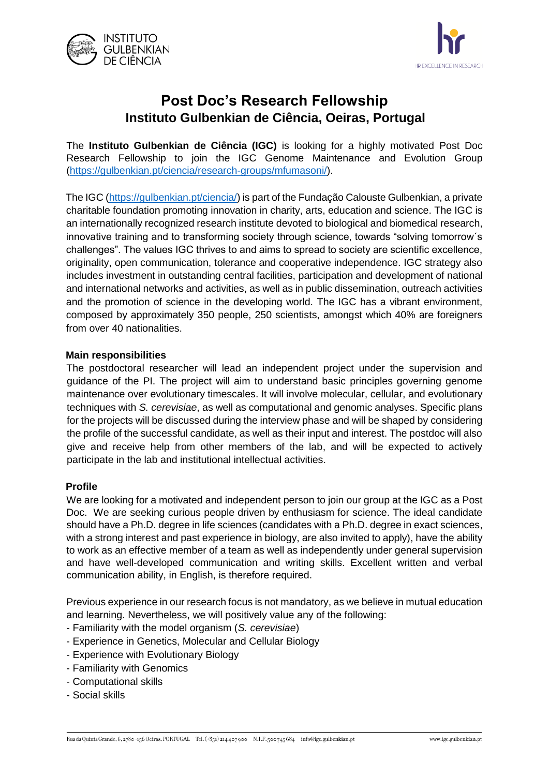



# **Post Doc's Research Fellowship Instituto Gulbenkian de Ciência, Oeiras, Portugal**

The **Instituto Gulbenkian de Ciência (IGC)** is looking for a highly motivated Post Doc Research Fellowship to join the IGC Genome Maintenance and Evolution Group [\(https://gulbenkian.pt/ciencia/research-groups/mfumasoni/\)](https://gulbenkian.pt/ciencia/research-groups/mfumasoni/).

The IGC [\(https://gulbenkian.pt/ciencia/\)](https://gulbenkian.pt/ciencia/) is part of the Fundação Calouste Gulbenkian, a private charitable foundation promoting innovation in charity, arts, education and science. The IGC is an internationally recognized research institute devoted to biological and biomedical research, innovative training and to transforming society through science, towards "solving tomorrow´s challenges". The values IGC thrives to and aims to spread to society are scientific excellence, originality, open communication, tolerance and cooperative independence. IGC strategy also includes investment in outstanding central facilities, participation and development of national and international networks and activities, as well as in public dissemination, outreach activities and the promotion of science in the developing world. The IGC has a vibrant environment, composed by approximately 350 people, 250 scientists, amongst which 40% are foreigners from over 40 nationalities.

# **Main responsibilities**

The postdoctoral researcher will lead an independent project under the supervision and guidance of the PI. The project will aim to understand basic principles governing genome maintenance over evolutionary timescales. It will involve molecular, cellular, and evolutionary techniques with *S. cerevisiae*, as well as computational and genomic analyses. Specific plans for the projects will be discussed during the interview phase and will be shaped by considering the profile of the successful candidate, as well as their input and interest. The postdoc will also give and receive help from other members of the lab, and will be expected to actively participate in the lab and institutional intellectual activities.

## **Profile**

We are looking for a motivated and independent person to join our group at the IGC as a Post Doc. We are seeking curious people driven by enthusiasm for science. The ideal candidate should have a Ph.D. degree in life sciences (candidates with a Ph.D. degree in exact sciences, with a strong interest and past experience in biology, are also invited to apply), have the ability to work as an effective member of a team as well as independently under general supervision and have well-developed communication and writing skills. Excellent written and verbal communication ability, in English, is therefore required.

Previous experience in our research focus is not mandatory, as we believe in mutual education and learning. Nevertheless, we will positively value any of the following:

- Familiarity with the model organism (*S. cerevisiae*)
- Experience in Genetics, Molecular and Cellular Biology
- Experience with Evolutionary Biology
- Familiarity with Genomics
- Computational skills
- Social skills